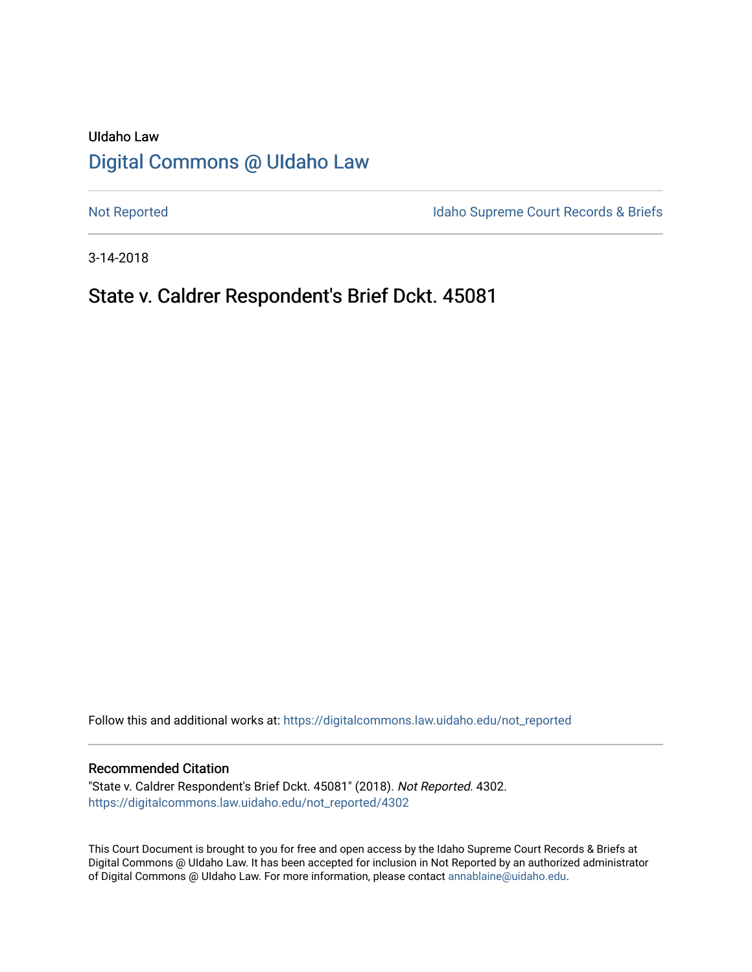## UIdaho Law [Digital Commons @ UIdaho Law](https://digitalcommons.law.uidaho.edu/)

[Not Reported](https://digitalcommons.law.uidaho.edu/not_reported) **Idaho Supreme Court Records & Briefs** 

3-14-2018

## State v. Caldrer Respondent's Brief Dckt. 45081

Follow this and additional works at: [https://digitalcommons.law.uidaho.edu/not\\_reported](https://digitalcommons.law.uidaho.edu/not_reported?utm_source=digitalcommons.law.uidaho.edu%2Fnot_reported%2F4302&utm_medium=PDF&utm_campaign=PDFCoverPages) 

#### Recommended Citation

"State v. Caldrer Respondent's Brief Dckt. 45081" (2018). Not Reported. 4302. [https://digitalcommons.law.uidaho.edu/not\\_reported/4302](https://digitalcommons.law.uidaho.edu/not_reported/4302?utm_source=digitalcommons.law.uidaho.edu%2Fnot_reported%2F4302&utm_medium=PDF&utm_campaign=PDFCoverPages)

This Court Document is brought to you for free and open access by the Idaho Supreme Court Records & Briefs at Digital Commons @ UIdaho Law. It has been accepted for inclusion in Not Reported by an authorized administrator of Digital Commons @ UIdaho Law. For more information, please contact [annablaine@uidaho.edu](mailto:annablaine@uidaho.edu).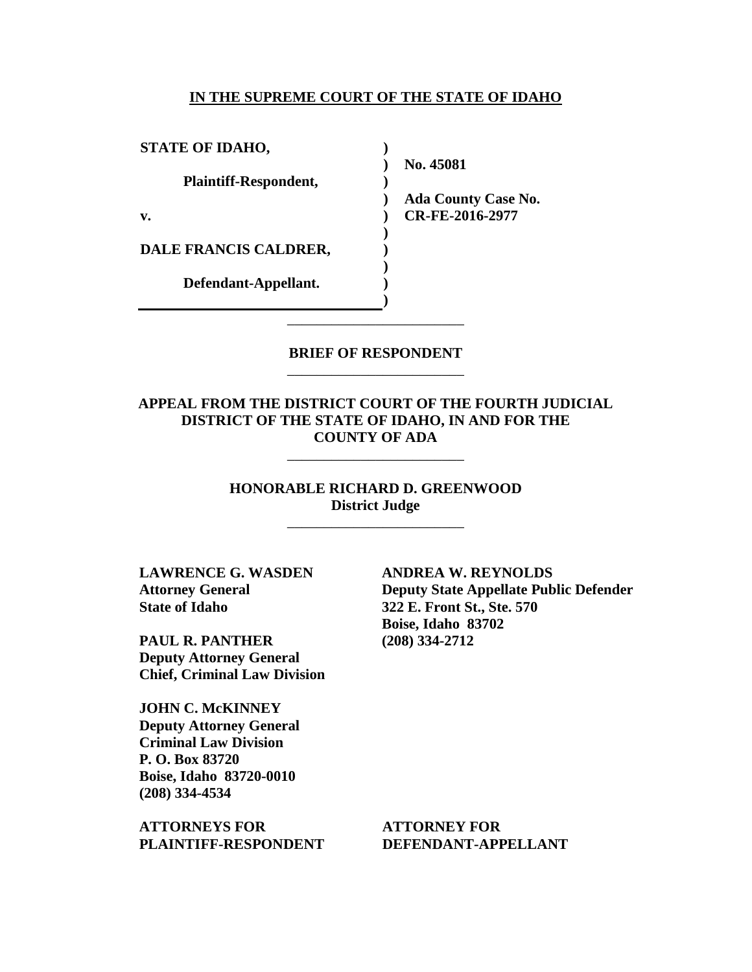#### **IN THE SUPREME COURT OF THE STATE OF IDAHO**

**) ) ) ) ) ) ) ) ) )**

**STATE OF IDAHO, Plaintiff-Respondent, v.** 

**DALE FRANCIS CALDRER,** 

**Defendant-Appellant.**

**No. 45081** 

**Ada County Case No. CR-FE-2016-2977** 

### **BRIEF OF RESPONDENT** \_\_\_\_\_\_\_\_\_\_\_\_\_\_\_\_\_\_\_\_\_\_\_\_

\_\_\_\_\_\_\_\_\_\_\_\_\_\_\_\_\_\_\_\_\_\_\_\_

**APPEAL FROM THE DISTRICT COURT OF THE FOURTH JUDICIAL DISTRICT OF THE STATE OF IDAHO, IN AND FOR THE COUNTY OF ADA**

\_\_\_\_\_\_\_\_\_\_\_\_\_\_\_\_\_\_\_\_\_\_\_\_

**HONORABLE RICHARD D. GREENWOOD District Judge**

\_\_\_\_\_\_\_\_\_\_\_\_\_\_\_\_\_\_\_\_\_\_\_\_

**LAWRENCE G. WASDEN Attorney General State of Idaho**

**PAUL R. PANTHER Deputy Attorney General Chief, Criminal Law Division**

**JOHN C. McKINNEY Deputy Attorney General Criminal Law Division P. O. Box 83720 Boise, Idaho 83720-0010 (208) 334-4534** 

**ATTORNEYS FOR PLAINTIFF-RESPONDENT** **ANDREA W. REYNOLDS Deputy State Appellate Public Defender 322 E. Front St., Ste. 570 Boise, Idaho 83702 (208) 334-2712** 

**ATTORNEY FOR DEFENDANT-APPELLANT**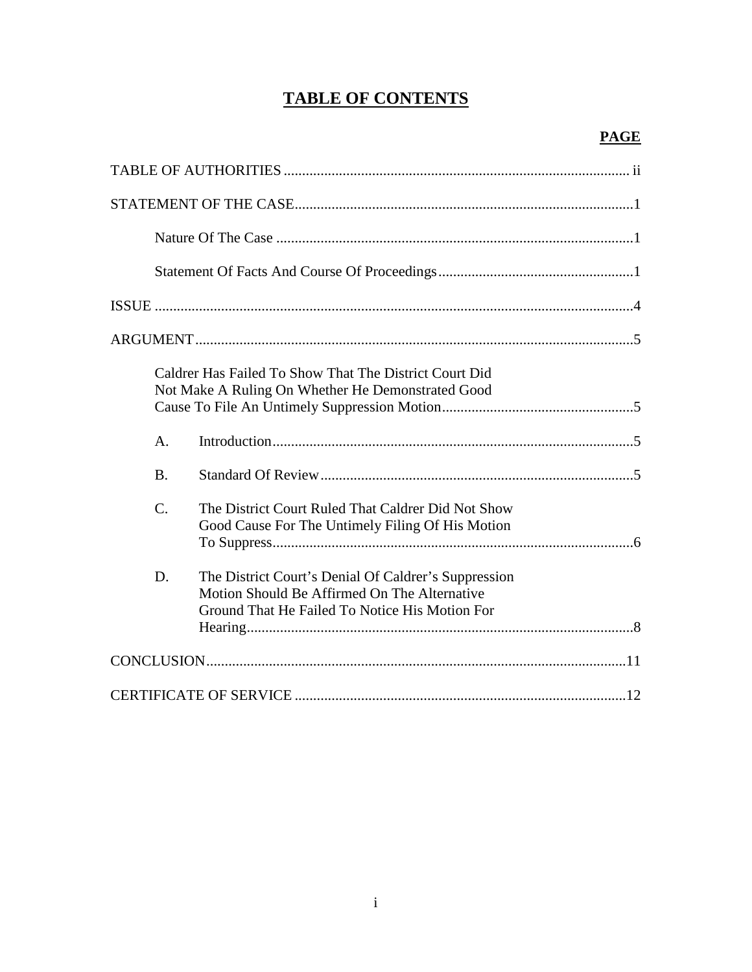# **TABLE OF CONTENTS**

|                | Caldrer Has Failed To Show That The District Court Did<br>Not Make A Ruling On Whether He Demonstrated Good                                            |
|----------------|--------------------------------------------------------------------------------------------------------------------------------------------------------|
| $\mathsf{A}$ . |                                                                                                                                                        |
| <b>B.</b>      |                                                                                                                                                        |
| $C$ .          | The District Court Ruled That Caldrer Did Not Show<br>Good Cause For The Untimely Filing Of His Motion                                                 |
| D.             | The District Court's Denial Of Caldrer's Suppression<br>Motion Should Be Affirmed On The Alternative<br>Ground That He Failed To Notice His Motion For |
|                |                                                                                                                                                        |
|                |                                                                                                                                                        |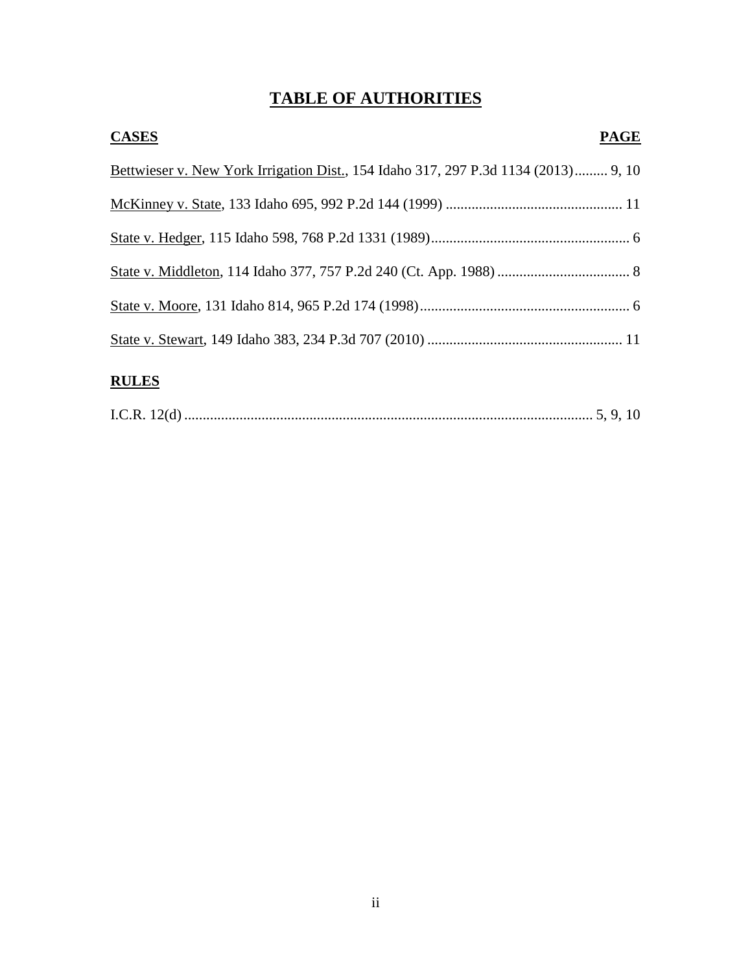# **TABLE OF AUTHORITIES**

| <b>CASES</b>                                                                       | <b>PAGE</b> |
|------------------------------------------------------------------------------------|-------------|
| Bettwieser v. New York Irrigation Dist., 154 Idaho 317, 297 P.3d 1134 (2013) 9, 10 |             |
|                                                                                    |             |
|                                                                                    |             |
|                                                                                    |             |
|                                                                                    |             |
|                                                                                    |             |
| <b>RULES</b>                                                                       |             |

|--|--|--|--|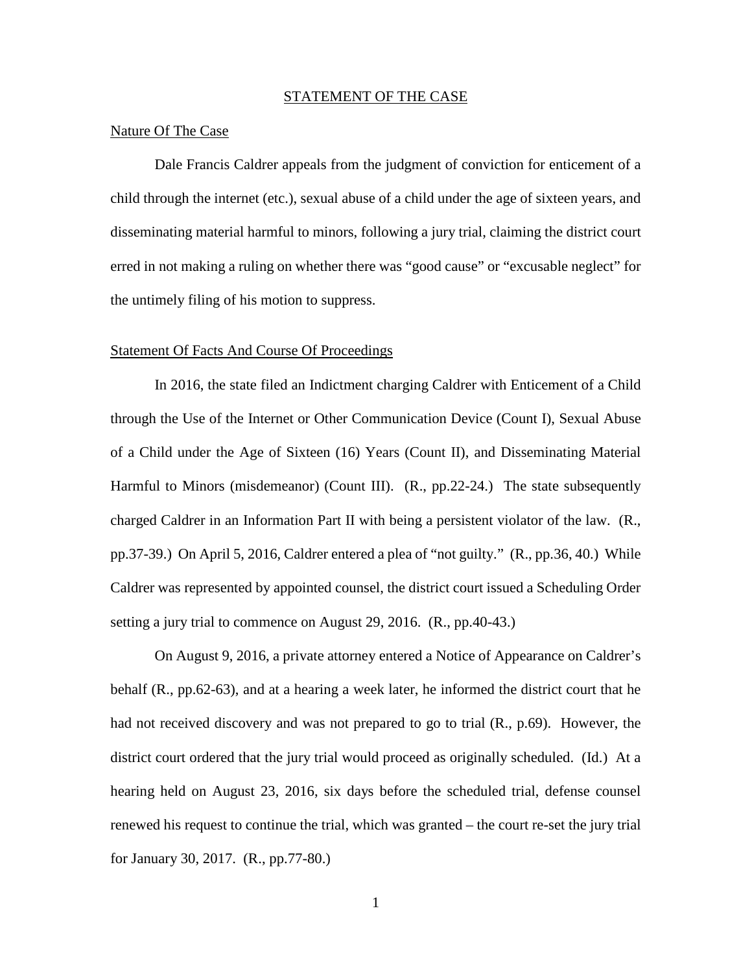#### STATEMENT OF THE CASE

#### Nature Of The Case

Dale Francis Caldrer appeals from the judgment of conviction for enticement of a child through the internet (etc.), sexual abuse of a child under the age of sixteen years, and disseminating material harmful to minors, following a jury trial, claiming the district court erred in not making a ruling on whether there was "good cause" or "excusable neglect" for the untimely filing of his motion to suppress.

#### Statement Of Facts And Course Of Proceedings

In 2016, the state filed an Indictment charging Caldrer with Enticement of a Child through the Use of the Internet or Other Communication Device (Count I), Sexual Abuse of a Child under the Age of Sixteen (16) Years (Count II), and Disseminating Material Harmful to Minors (misdemeanor) (Count III). (R., pp.22-24.) The state subsequently charged Caldrer in an Information Part II with being a persistent violator of the law. (R., pp.37-39.) On April 5, 2016, Caldrer entered a plea of "not guilty." (R., pp.36, 40.) While Caldrer was represented by appointed counsel, the district court issued a Scheduling Order setting a jury trial to commence on August 29, 2016. (R., pp.40-43.)

On August 9, 2016, a private attorney entered a Notice of Appearance on Caldrer's behalf (R., pp.62-63), and at a hearing a week later, he informed the district court that he had not received discovery and was not prepared to go to trial (R., p.69). However, the district court ordered that the jury trial would proceed as originally scheduled. (Id.) At a hearing held on August 23, 2016, six days before the scheduled trial, defense counsel renewed his request to continue the trial, which was granted – the court re-set the jury trial for January 30, 2017. (R., pp.77-80.)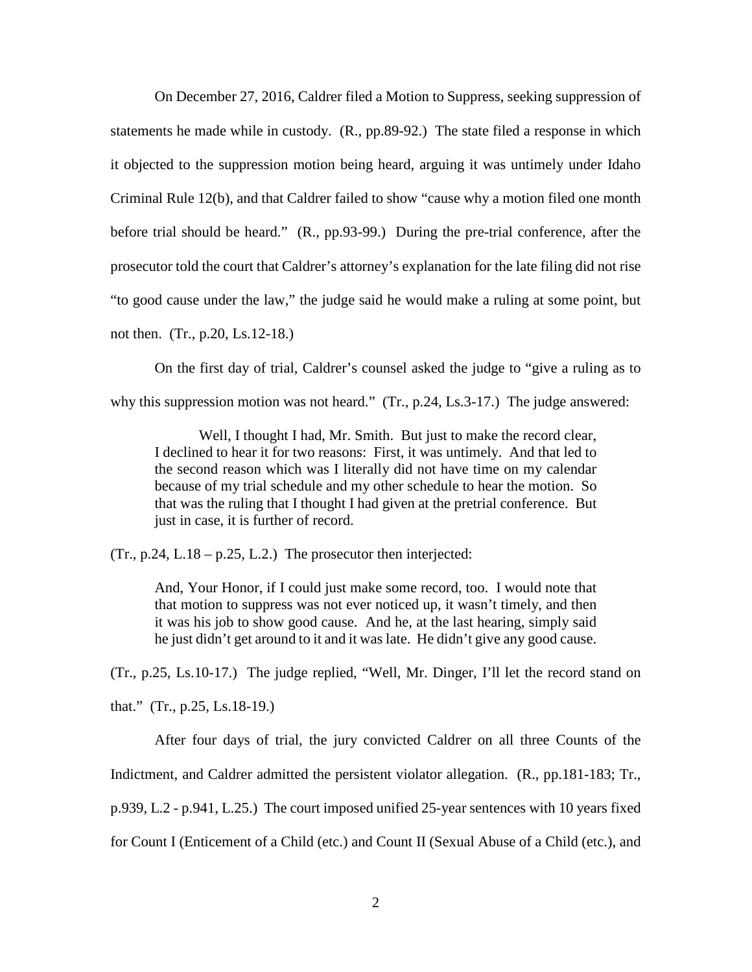On December 27, 2016, Caldrer filed a Motion to Suppress, seeking suppression of statements he made while in custody. (R., pp.89-92.) The state filed a response in which it objected to the suppression motion being heard, arguing it was untimely under Idaho Criminal Rule 12(b), and that Caldrer failed to show "cause why a motion filed one month before trial should be heard." (R., pp.93-99.) During the pre-trial conference, after the prosecutor told the court that Caldrer's attorney's explanation for the late filing did not rise "to good cause under the law," the judge said he would make a ruling at some point, but not then. (Tr., p.20, Ls.12-18.)

On the first day of trial, Caldrer's counsel asked the judge to "give a ruling as to why this suppression motion was not heard." (Tr., p.24, Ls.3-17.) The judge answered:

 Well, I thought I had, Mr. Smith. But just to make the record clear, I declined to hear it for two reasons: First, it was untimely. And that led to the second reason which was I literally did not have time on my calendar because of my trial schedule and my other schedule to hear the motion. So that was the ruling that I thought I had given at the pretrial conference. But just in case, it is further of record.

 $(Tr., p.24, L.18 - p.25, L.2.)$  The prosecutor then interjected:

And, Your Honor, if I could just make some record, too. I would note that that motion to suppress was not ever noticed up, it wasn't timely, and then it was his job to show good cause. And he, at the last hearing, simply said he just didn't get around to it and it was late. He didn't give any good cause.

(Tr., p.25, Ls.10-17.) The judge replied, "Well, Mr. Dinger, I'll let the record stand on

that." (Tr., p.25, Ls.18-19.)

After four days of trial, the jury convicted Caldrer on all three Counts of the

Indictment, and Caldrer admitted the persistent violator allegation. (R., pp.181-183; Tr.,

p.939, L.2 - p.941, L.25.) The court imposed unified 25-year sentences with 10 years fixed

for Count I (Enticement of a Child (etc.) and Count II (Sexual Abuse of a Child (etc.), and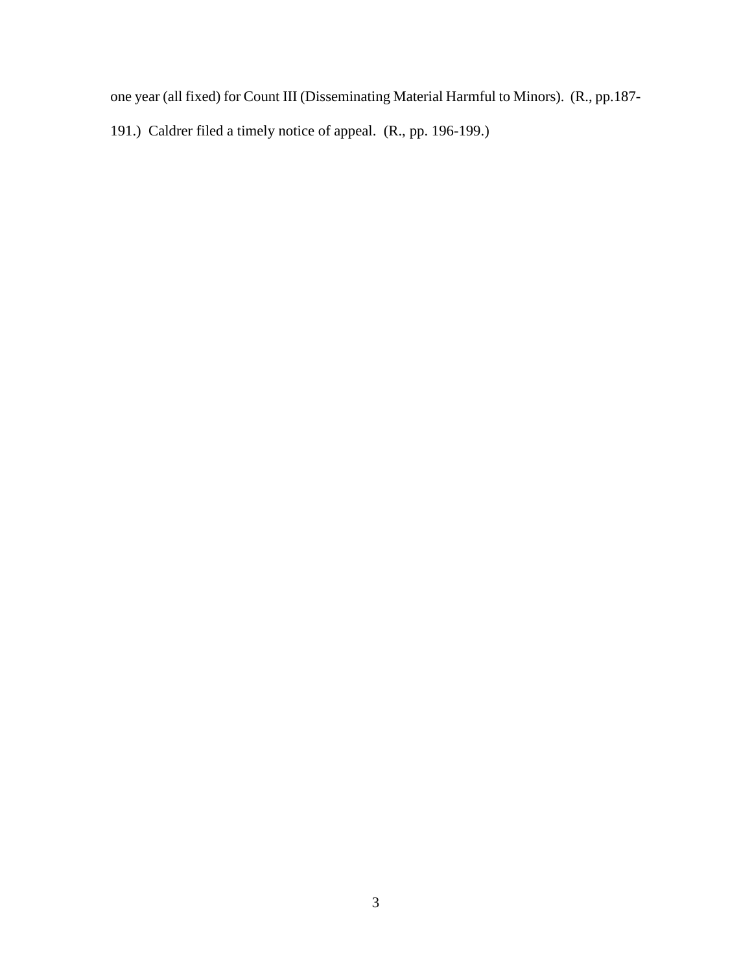one year (all fixed) for Count III (Disseminating Material Harmful to Minors). (R., pp.187-

191.) Caldrer filed a timely notice of appeal. (R., pp. 196-199.)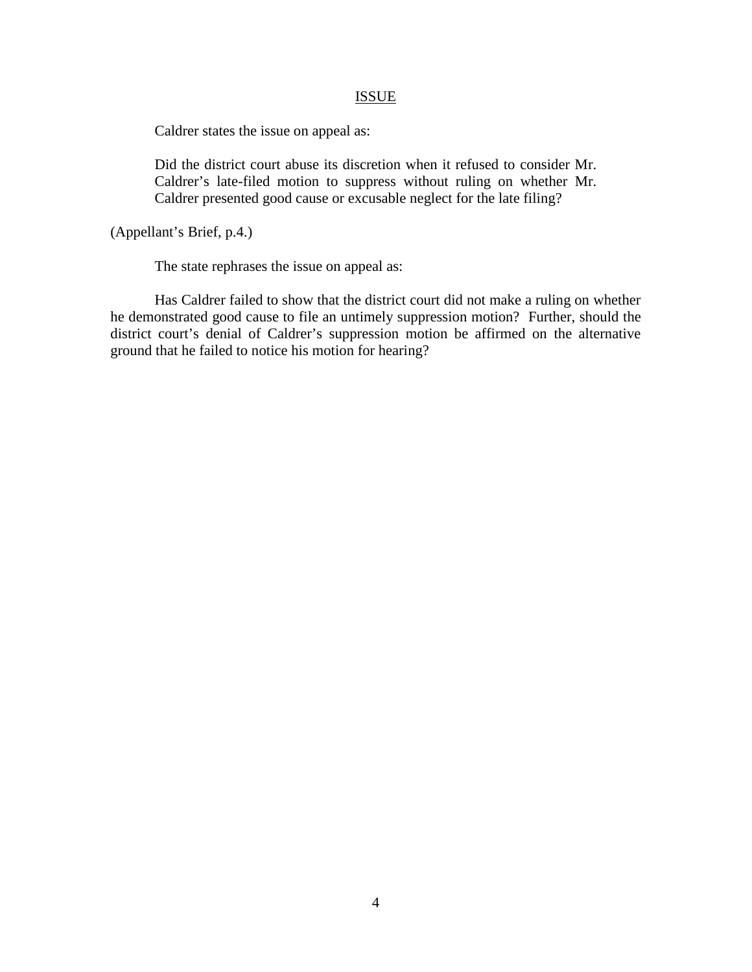#### ISSUE

Caldrer states the issue on appeal as:

Did the district court abuse its discretion when it refused to consider Mr. Caldrer's late-filed motion to suppress without ruling on whether Mr. Caldrer presented good cause or excusable neglect for the late filing?

(Appellant's Brief, p.4.)

The state rephrases the issue on appeal as:

Has Caldrer failed to show that the district court did not make a ruling on whether he demonstrated good cause to file an untimely suppression motion? Further, should the district court's denial of Caldrer's suppression motion be affirmed on the alternative ground that he failed to notice his motion for hearing?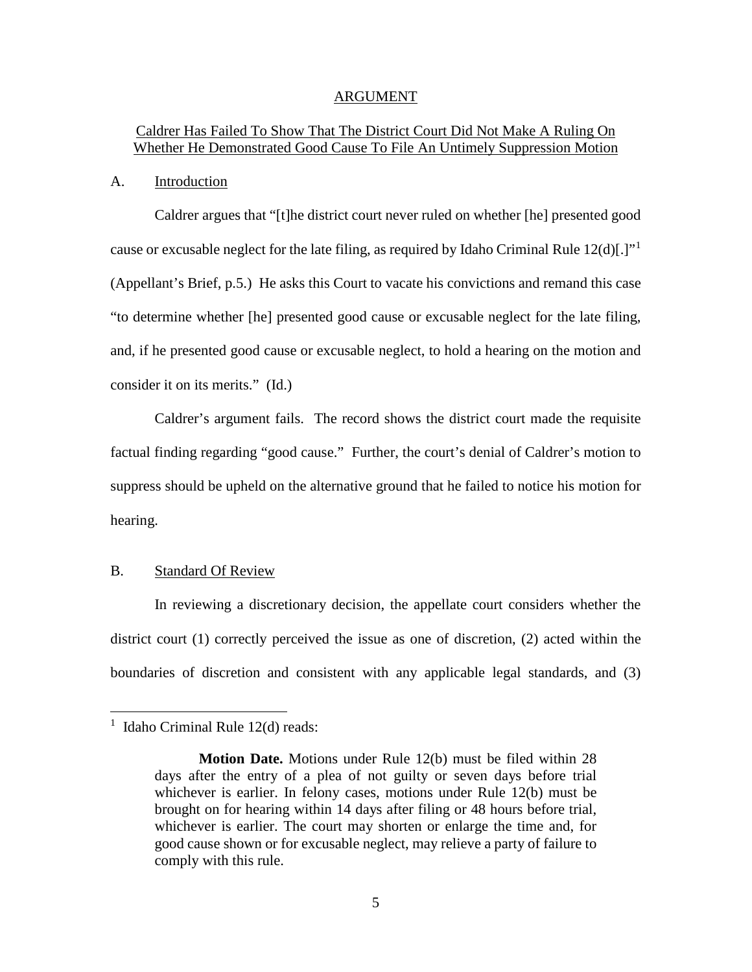#### ARGUMENT

## Caldrer Has Failed To Show That The District Court Did Not Make A Ruling On Whether He Demonstrated Good Cause To File An Untimely Suppression Motion

#### A. Introduction

Caldrer argues that "[t]he district court never ruled on whether [he] presented good cause or excusable neglect for the late filing, as required by Idaho Criminal Rule  $12(d)$  $12(d)$ [.]<sup>"1</sup> (Appellant's Brief, p.5.) He asks this Court to vacate his convictions and remand this case "to determine whether [he] presented good cause or excusable neglect for the late filing, and, if he presented good cause or excusable neglect, to hold a hearing on the motion and consider it on its merits." (Id.)

Caldrer's argument fails. The record shows the district court made the requisite factual finding regarding "good cause." Further, the court's denial of Caldrer's motion to suppress should be upheld on the alternative ground that he failed to notice his motion for hearing.

#### B. Standard Of Review

In reviewing a discretionary decision, the appellate court considers whether the district court (1) correctly perceived the issue as one of discretion, (2) acted within the boundaries of discretion and consistent with any applicable legal standards, and (3)

 $\overline{a}$ 

<span id="page-8-0"></span><sup>&</sup>lt;sup>1</sup> Idaho Criminal Rule 12(d) reads:

**Motion Date.** Motions under Rule 12(b) must be filed within 28 days after the entry of a plea of not guilty or seven days before trial whichever is earlier. In felony cases, motions under Rule 12(b) must be brought on for hearing within 14 days after filing or 48 hours before trial, whichever is earlier. The court may shorten or enlarge the time and, for good cause shown or for excusable neglect, may relieve a party of failure to comply with this rule.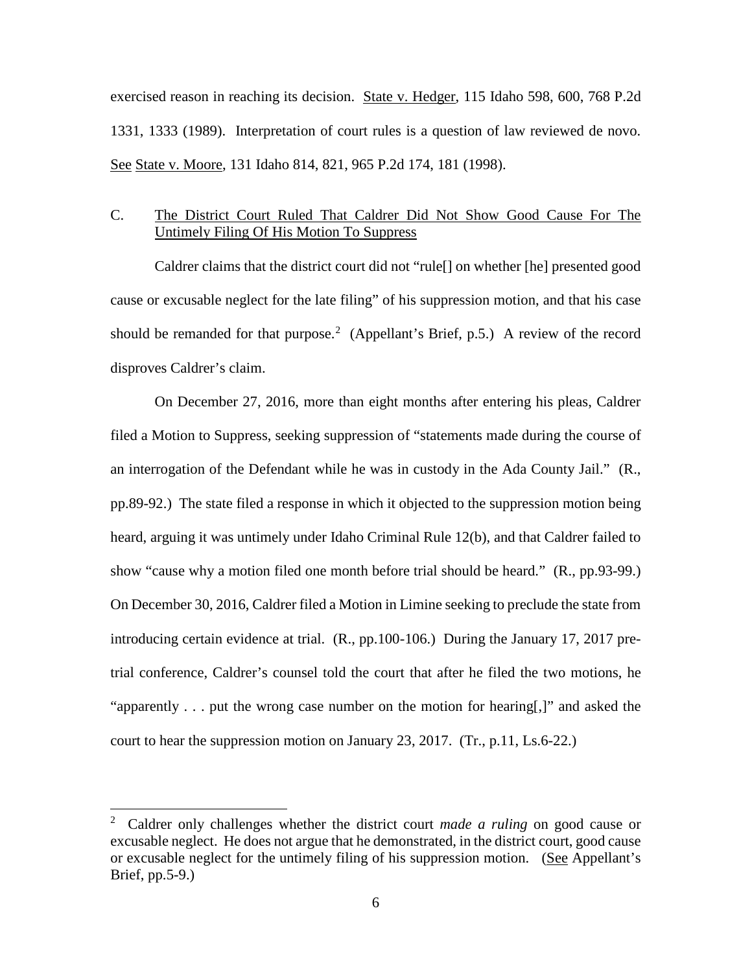exercised reason in reaching its decision. State v. Hedger, 115 Idaho 598, 600, 768 P.2d 1331, 1333 (1989). Interpretation of court rules is a question of law reviewed de novo. See State v. Moore, 131 Idaho 814, 821, 965 P.2d 174, 181 (1998).

## C. The District Court Ruled That Caldrer Did Not Show Good Cause For The Untimely Filing Of His Motion To Suppress

Caldrer claims that the district court did not "rule[] on whether [he] presented good cause or excusable neglect for the late filing" of his suppression motion, and that his case should be remanded for that purpose.<sup>[2](#page-9-0)</sup> (Appellant's Brief, p.5.) A review of the record disproves Caldrer's claim.

On December 27, 2016, more than eight months after entering his pleas, Caldrer filed a Motion to Suppress, seeking suppression of "statements made during the course of an interrogation of the Defendant while he was in custody in the Ada County Jail." (R., pp.89-92.) The state filed a response in which it objected to the suppression motion being heard, arguing it was untimely under Idaho Criminal Rule 12(b), and that Caldrer failed to show "cause why a motion filed one month before trial should be heard." (R., pp.93-99.) On December 30, 2016, Caldrer filed a Motion in Limine seeking to preclude the state from introducing certain evidence at trial. (R., pp.100-106.) During the January 17, 2017 pretrial conference, Caldrer's counsel told the court that after he filed the two motions, he "apparently . . . put the wrong case number on the motion for hearing[,]" and asked the court to hear the suppression motion on January 23, 2017. (Tr., p.11, Ls.6-22.)

 $\overline{a}$ 

<span id="page-9-0"></span><sup>2</sup> Caldrer only challenges whether the district court *made a ruling* on good cause or excusable neglect. He does not argue that he demonstrated, in the district court, good cause or excusable neglect for the untimely filing of his suppression motion. (See Appellant's Brief, pp.5-9.)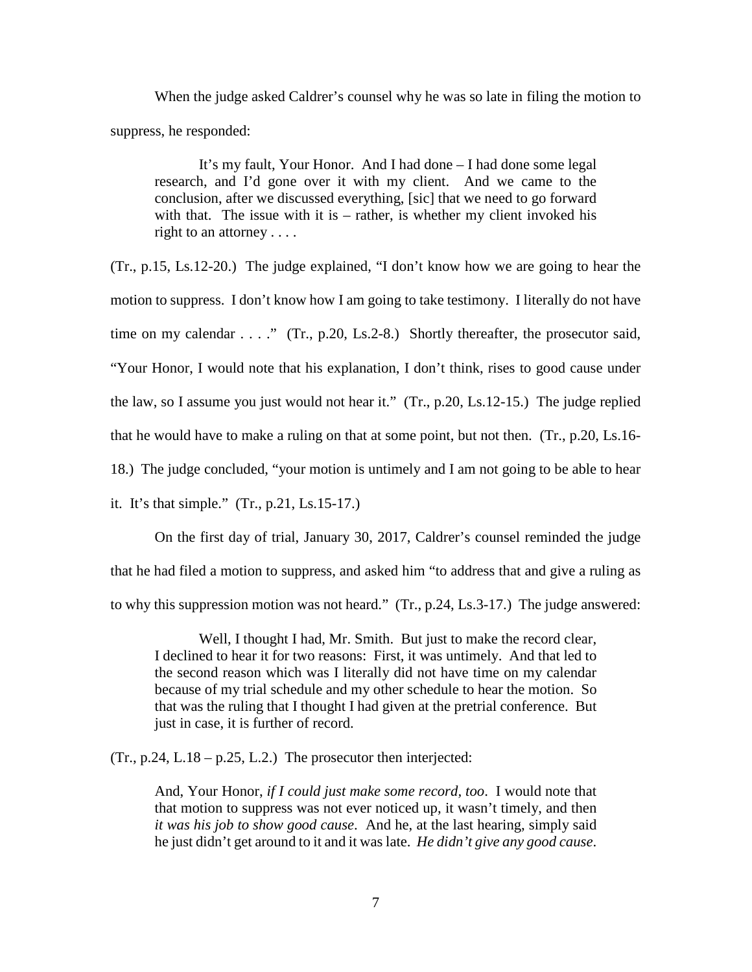When the judge asked Caldrer's counsel why he was so late in filing the motion to suppress, he responded:

 It's my fault, Your Honor. And I had done – I had done some legal research, and I'd gone over it with my client. And we came to the conclusion, after we discussed everything, [sic] that we need to go forward with that. The issue with it is  $-$  rather, is whether my client invoked his right to an attorney . . . .

(Tr., p.15, Ls.12-20.) The judge explained, "I don't know how we are going to hear the motion to suppress. I don't know how I am going to take testimony. I literally do not have time on my calendar . . . ." (Tr., p.20, Ls.2-8.) Shortly thereafter, the prosecutor said, "Your Honor, I would note that his explanation, I don't think, rises to good cause under the law, so I assume you just would not hear it." (Tr., p.20, Ls.12-15.) The judge replied that he would have to make a ruling on that at some point, but not then. (Tr., p.20, Ls.16- 18.) The judge concluded, "your motion is untimely and I am not going to be able to hear it. It's that simple." (Tr., p.21, Ls.15-17.)

On the first day of trial, January 30, 2017, Caldrer's counsel reminded the judge that he had filed a motion to suppress, and asked him "to address that and give a ruling as to why this suppression motion was not heard." (Tr., p.24, Ls.3-17.) The judge answered:

Well, I thought I had, Mr. Smith. But just to make the record clear, I declined to hear it for two reasons: First, it was untimely. And that led to the second reason which was I literally did not have time on my calendar because of my trial schedule and my other schedule to hear the motion. So that was the ruling that I thought I had given at the pretrial conference. But just in case, it is further of record.

 $(Tr., p.24, L.18 - p.25, L.2.)$  The prosecutor then interjected:

And, Your Honor, *if I could just make some record, too*. I would note that that motion to suppress was not ever noticed up, it wasn't timely, and then *it was his job to show good cause*. And he, at the last hearing, simply said he just didn't get around to it and it was late. *He didn't give any good cause*.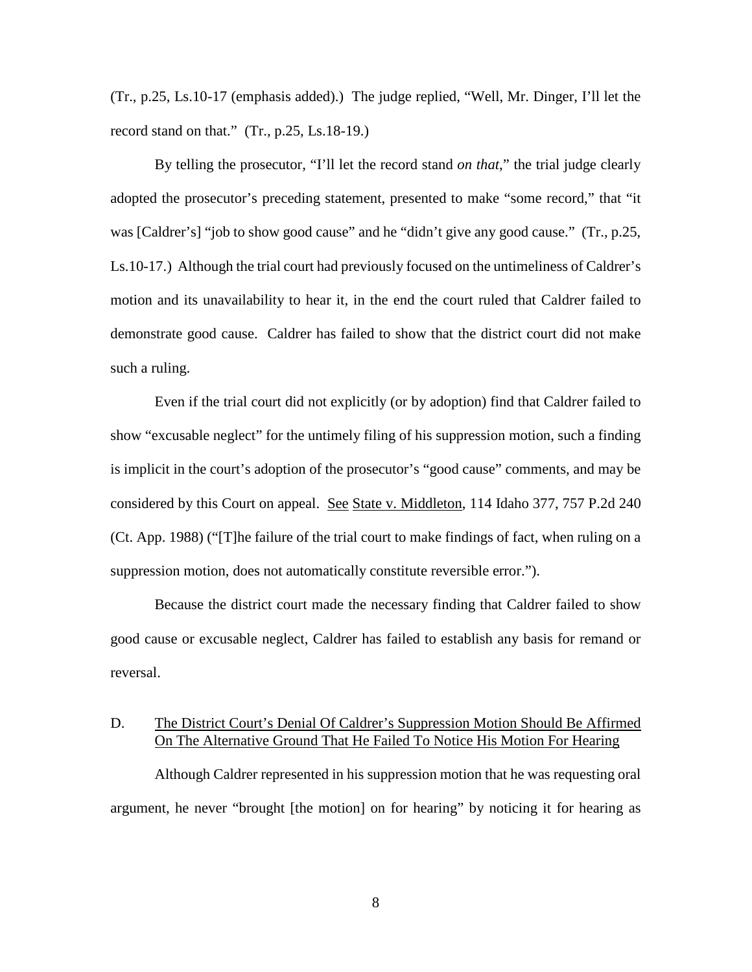(Tr., p.25, Ls.10-17 (emphasis added).) The judge replied, "Well, Mr. Dinger, I'll let the record stand on that."  $(Tr, p.25, Ls.18-19)$ .

By telling the prosecutor, "I'll let the record stand *on that*," the trial judge clearly adopted the prosecutor's preceding statement, presented to make "some record," that "it was [Caldrer's] "job to show good cause" and he "didn't give any good cause." (Tr., p.25, Ls.10-17.) Although the trial court had previously focused on the untimeliness of Caldrer's motion and its unavailability to hear it, in the end the court ruled that Caldrer failed to demonstrate good cause. Caldrer has failed to show that the district court did not make such a ruling.

Even if the trial court did not explicitly (or by adoption) find that Caldrer failed to show "excusable neglect" for the untimely filing of his suppression motion, such a finding is implicit in the court's adoption of the prosecutor's "good cause" comments, and may be considered by this Court on appeal. See State v. Middleton, 114 Idaho 377, 757 P.2d 240 (Ct. App. 1988) ("[T]he failure of the trial court to make findings of fact, when ruling on a suppression motion, does not automatically constitute reversible error.").

Because the district court made the necessary finding that Caldrer failed to show good cause or excusable neglect, Caldrer has failed to establish any basis for remand or reversal.

## D. The District Court's Denial Of Caldrer's Suppression Motion Should Be Affirmed On The Alternative Ground That He Failed To Notice His Motion For Hearing

Although Caldrer represented in his suppression motion that he was requesting oral argument, he never "brought [the motion] on for hearing" by noticing it for hearing as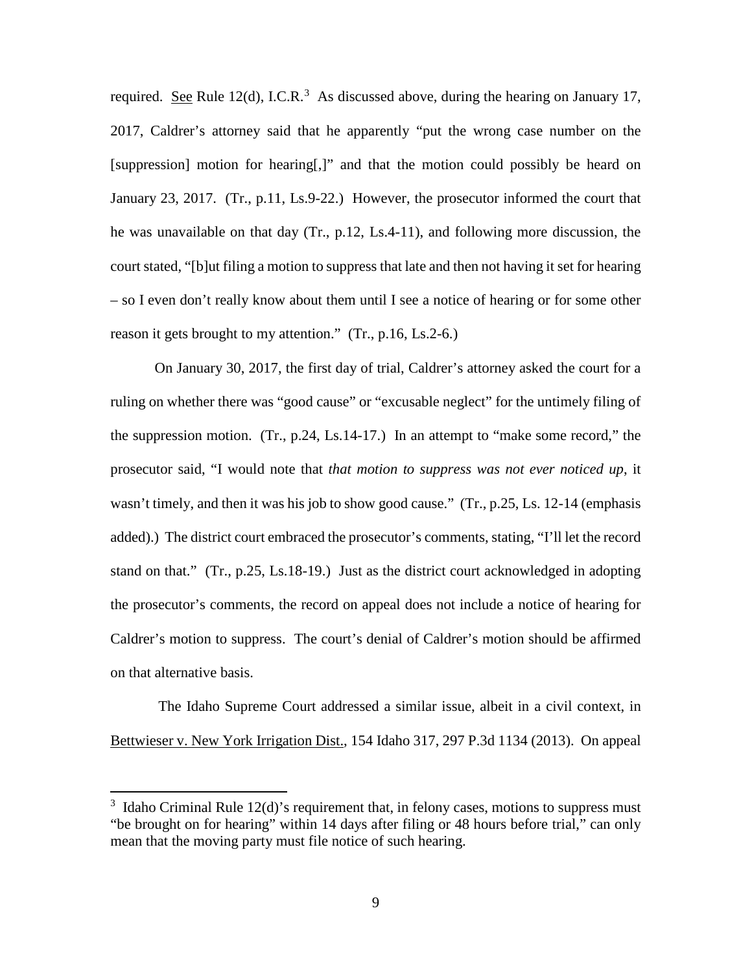required. See Rule 12(d), I.C.R.<sup>[3](#page-12-0)</sup> As discussed above, during the hearing on January 17, 2017, Caldrer's attorney said that he apparently "put the wrong case number on the [suppression] motion for hearing[,]" and that the motion could possibly be heard on January 23, 2017. (Tr., p.11, Ls.9-22.) However, the prosecutor informed the court that he was unavailable on that day (Tr., p.12, Ls.4-11), and following more discussion, the court stated, "[b]ut filing a motion to suppress that late and then not having it set for hearing – so I even don't really know about them until I see a notice of hearing or for some other reason it gets brought to my attention." (Tr., p.16, Ls.2-6.)

On January 30, 2017, the first day of trial, Caldrer's attorney asked the court for a ruling on whether there was "good cause" or "excusable neglect" for the untimely filing of the suppression motion. (Tr., p.24, Ls.14-17.) In an attempt to "make some record," the prosecutor said, "I would note that *that motion to suppress was not ever noticed up*, it wasn't timely, and then it was his job to show good cause." (Tr., p.25, Ls. 12-14 (emphasis added).) The district court embraced the prosecutor's comments, stating, "I'll let the record stand on that." (Tr., p.25, Ls.18-19.) Just as the district court acknowledged in adopting the prosecutor's comments, the record on appeal does not include a notice of hearing for Caldrer's motion to suppress. The court's denial of Caldrer's motion should be affirmed on that alternative basis.

The Idaho Supreme Court addressed a similar issue, albeit in a civil context, in Bettwieser v. New York Irrigation Dist., 154 Idaho 317, 297 P.3d 1134 (2013). On appeal

 $\overline{a}$ 

<span id="page-12-0"></span> $3$  Idaho Criminal Rule 12(d)'s requirement that, in felony cases, motions to suppress must "be brought on for hearing" within 14 days after filing or 48 hours before trial," can only mean that the moving party must file notice of such hearing.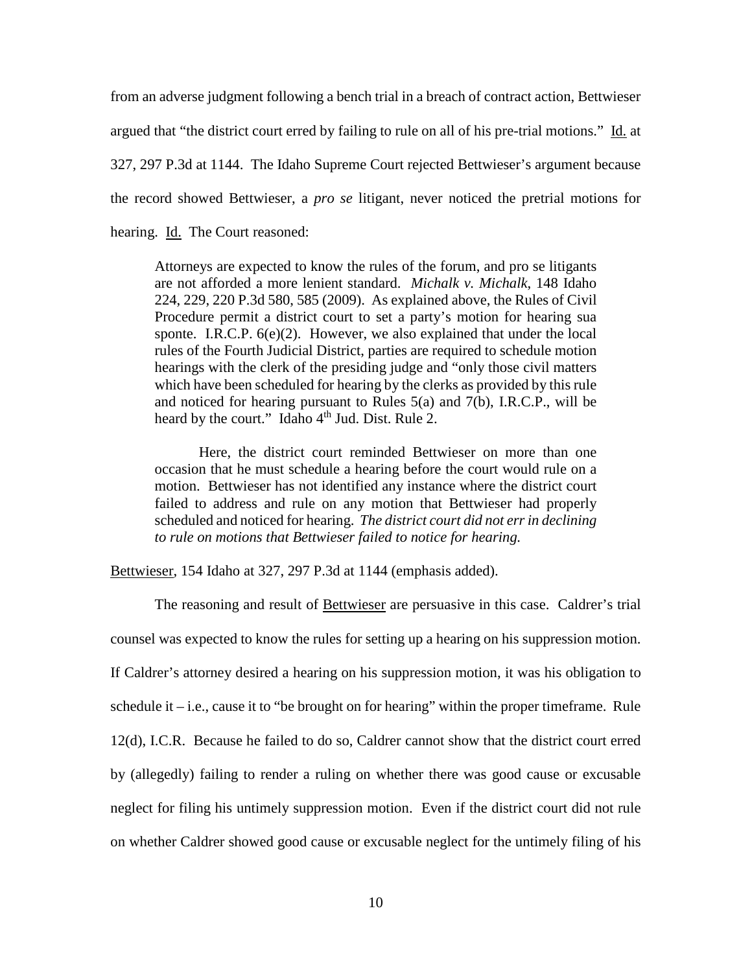from an adverse judgment following a bench trial in a breach of contract action, Bettwieser argued that "the district court erred by failing to rule on all of his pre-trial motions." Id. at 327, 297 P.3d at 1144. The Idaho Supreme Court rejected Bettwieser's argument because the record showed Bettwieser, a *pro se* litigant, never noticed the pretrial motions for hearing. Id. The Court reasoned:

Attorneys are expected to know the rules of the forum, and pro se litigants are not afforded a more lenient standard. *Michalk v. Michalk*, 148 Idaho 224, 229, 220 P.3d 580, 585 (2009). As explained above, the Rules of Civil Procedure permit a district court to set a party's motion for hearing sua sponte. I.R.C.P. 6(e)(2). However, we also explained that under the local rules of the Fourth Judicial District, parties are required to schedule motion hearings with the clerk of the presiding judge and "only those civil matters which have been scheduled for hearing by the clerks as provided by this rule and noticed for hearing pursuant to Rules  $5(a)$  and  $7(b)$ , I.R.C.P., will be heard by the court." Idaho  $4<sup>th</sup>$  Jud. Dist. Rule 2.

Here, the district court reminded Bettwieser on more than one occasion that he must schedule a hearing before the court would rule on a motion. Bettwieser has not identified any instance where the district court failed to address and rule on any motion that Bettwieser had properly scheduled and noticed for hearing. *The district court did not err in declining to rule on motions that Bettwieser failed to notice for hearing.*

Bettwieser, 154 Idaho at 327, 297 P.3d at 1144 (emphasis added).

The reasoning and result of Bettwieser are persuasive in this case. Caldrer's trial counsel was expected to know the rules for setting up a hearing on his suppression motion. If Caldrer's attorney desired a hearing on his suppression motion, it was his obligation to schedule it  $-i.e.,$  cause it to "be brought on for hearing" within the proper timeframe. Rule 12(d), I.C.R. Because he failed to do so, Caldrer cannot show that the district court erred by (allegedly) failing to render a ruling on whether there was good cause or excusable neglect for filing his untimely suppression motion. Even if the district court did not rule on whether Caldrer showed good cause or excusable neglect for the untimely filing of his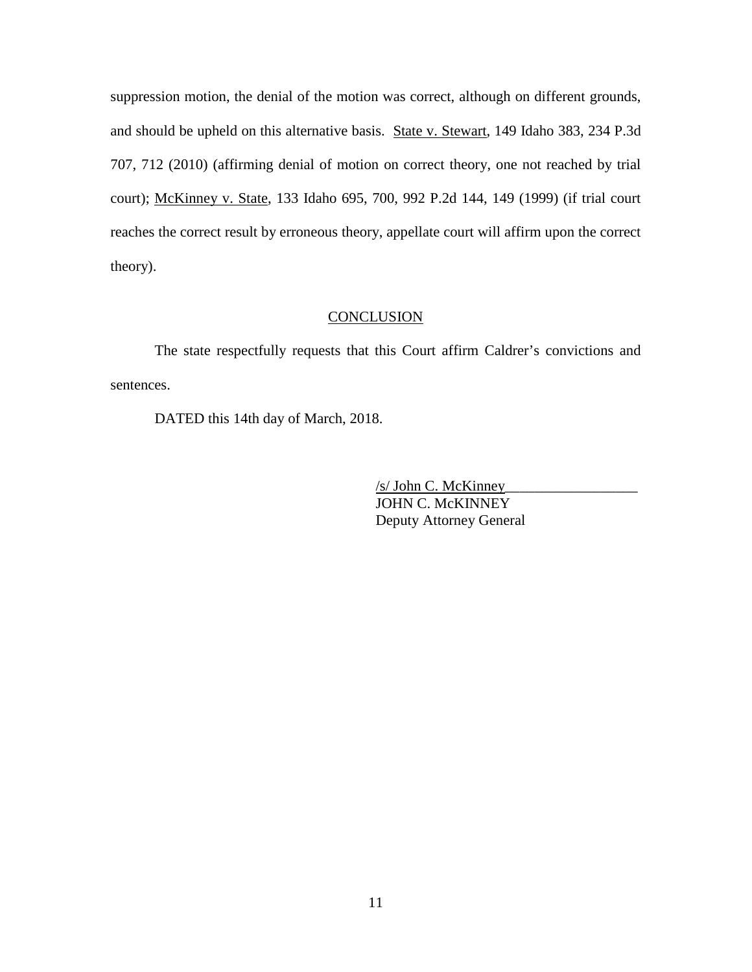suppression motion, the denial of the motion was correct, although on different grounds, and should be upheld on this alternative basis. State v. Stewart, 149 Idaho 383, 234 P.3d 707, 712 (2010) (affirming denial of motion on correct theory, one not reached by trial court); McKinney v. State, 133 Idaho 695, 700, 992 P.2d 144, 149 (1999) (if trial court reaches the correct result by erroneous theory, appellate court will affirm upon the correct theory).

#### **CONCLUSION**

The state respectfully requests that this Court affirm Caldrer's convictions and sentences.

DATED this 14th day of March, 2018.

 /s/ John C. McKinney\_\_\_\_\_\_\_\_\_\_\_\_\_\_\_\_\_\_ JOHN C. McKINNEY Deputy Attorney General